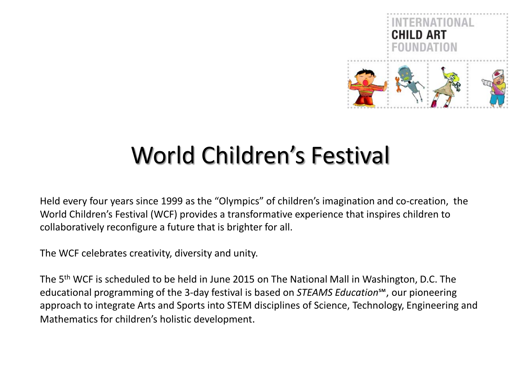

# World Children's Festival

Held every four years since 1999 as the "Olympics" of children's imagination and co-creation, the World Children's Festival (WCF) provides a transformative experience that inspires children to collaboratively reconfigure a future that is brighter for all.

The WCF celebrates creativity, diversity and unity.

The 5th WCF is scheduled to be held in June 2015 on The National Mall in Washington, D.C. The educational programming of the 3-day festival is based on *STEAMS Education*℠, our pioneering approach to integrate Arts and Sports into STEM disciplines of Science, Technology, Engineering and Mathematics for children's holistic development.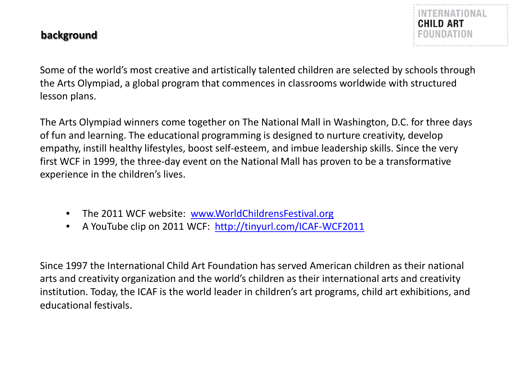## **background**

Some of the world's most creative and artistically talented children are selected by schools through the Arts Olympiad, a global program that commences in classrooms worldwide with structured lesson plans.

The Arts Olympiad winners come together on The National Mall in Washington, D.C. for three days of fun and learning. The educational programming is designed to nurture creativity, develop empathy, instill healthy lifestyles, boost self-esteem, and imbue leadership skills. Since the very first WCF in 1999, the three-day event on the National Mall has proven to be a transformative experience in the children's lives.

- The 2011 WCF website: [www.WorldChildrensFestival.org](http://www.worldchildrensfestival.org/)
- A YouTube clip on 2011 WCF: <http://tinyurl.com/ICAF-WCF2011>

Since 1997 the International Child Art Foundation has served American children as their national arts and creativity organization and the world's children as their international arts and creativity institution. Today, the ICAF is the world leader in children's art programs, child art exhibitions, and educational festivals.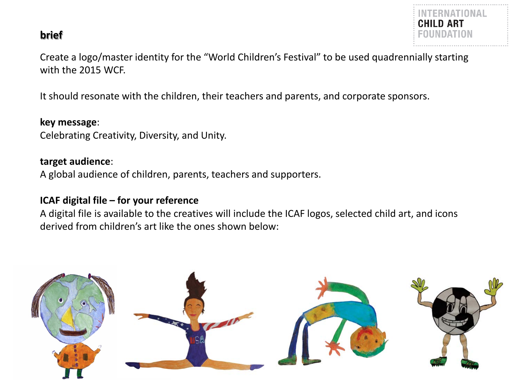## **brief**



Create a logo/master identity for the "World Children's Festival" to be used quadrennially starting with the 2015 WCF.

It should resonate with the children, their teachers and parents, and corporate sponsors.

## **key message**:

Celebrating Creativity, Diversity, and Unity.

## **target audience**:

A global audience of children, parents, teachers and supporters.

## **ICAF digital file – for your reference**

A digital file is available to the creatives will include the ICAF logos, selected child art, and icons derived from children's art like the ones shown below:

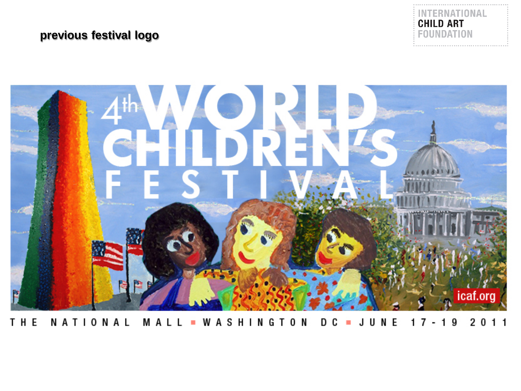# **previous festival logo**





NATIONAL MALL WASHINGTON JUNE 2 0 1 1 THE D C  $17 - 19$  $\sim$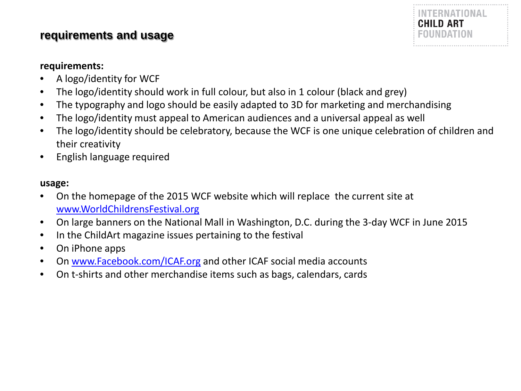## **requirements and usage**



## **requirements:**

- A logo/identity for WCF
- The logo/identity should work in full colour, but also in 1 colour (black and grey)
- The typography and logo should be easily adapted to 3D for marketing and merchandising
- The logo/identity must appeal to American audiences and a universal appeal as well
- The logo/identity should be celebratory, because the WCF is one unique celebration of children and their creativity
- English language required

#### **usage:**

- On the homepage of the 2015 WCF website which will replace the current site at [www.WorldChildrensFestival.org](http://www.worldchildrensfestival.org/)
- On large banners on the National Mall in Washington, D.C. during the 3-day WCF in June 2015
- In the ChildArt magazine issues pertaining to the festival
- On iPhone apps
- On [www.Facebook.com/ICAF.org](http://www.facebook.com/ICAF.org) and other ICAF social media accounts
- On t-shirts and other merchandise items such as bags, calendars, cards